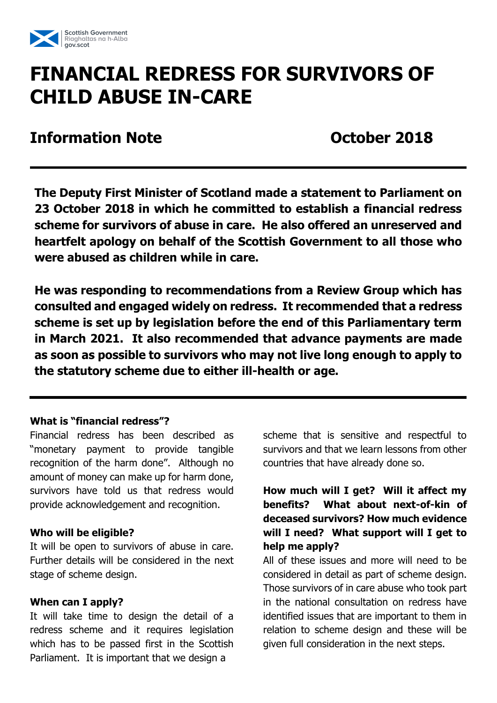

# **FINANCIAL REDRESS FOR SURVIVORS OF CHILD ABUSE IN-CARE**

**Information Note Contracts October 2018** 

**The Deputy First Minister of Scotland made a statement to Parliament on 23 October 2018 in which he committed to establish a financial redress scheme for survivors of abuse in care. He also offered an unreserved and heartfelt apology on behalf of the Scottish Government to all those who were abused as children while in care.**

**He was responding to recommendations from a Review Group which has consulted and engaged widely on redress. It recommended that a redress scheme is set up by legislation before the end of this Parliamentary term in March 2021. It also recommended that advance payments are made as soon as possible to survivors who may not live long enough to apply to the statutory scheme due to either ill-health or age.** 

#### **What is "financial redress"?**

Financial redress has been described as "monetary payment to provide tangible recognition of the harm done". Although no amount of money can make up for harm done, survivors have told us that redress would provide acknowledgement and recognition.

## **Who will be eligible?**

It will be open to survivors of abuse in care. Further details will be considered in the next stage of scheme design.

## **When can I apply?**

It will take time to design the detail of a redress scheme and it requires legislation which has to be passed first in the Scottish Parliament. It is important that we design a

scheme that is sensitive and respectful to survivors and that we learn lessons from other countries that have already done so.

## **How much will I get? Will it affect my benefits? What about next-of-kin of deceased survivors? How much evidence will I need? What support will I get to help me apply?**

All of these issues and more will need to be considered in detail as part of scheme design. Those survivors of in care abuse who took part in the national consultation on redress have identified issues that are important to them in relation to scheme design and these will be given full consideration in the next steps.